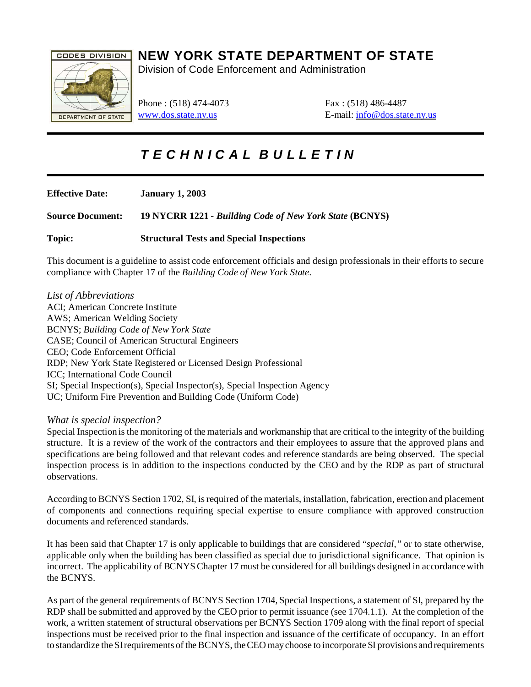

## **NEW YORK STATE DEPARTMENT OF STATE**

Division of Code Enforcement and Administration

Phone : (518) 474-4073 Fax : (518) 486-4487

[www.dos.state.ny.us](http://www.dos.state.ny.us) E-mail: [info@dos.state.ny.us](mailto:info@dos.state.ny.us)

# *T E C H N I C A L B U L L E T I N*

**Effective Date: January 1, 2003 Source Document: 19 NYCRR 1221 -** *Building Code of New York State* **(BCNYS)**

**Topic: Structural Tests and Special Inspections**

This document is a guideline to assist code enforcement officials and design professionals in their efforts to secure compliance with Chapter 17 of the *Building Code of New York State*.

*List of Abbreviations* ACI; American Concrete Institute AWS; American Welding Society BCNYS; *Building Code of New York State* CASE; Council of American Structural Engineers CEO; Code Enforcement Official RDP; New York State Registered or Licensed Design Professional ICC; International Code Council SI; Special Inspection(s), Special Inspector(s), Special Inspection Agency UC; Uniform Fire Prevention and Building Code (Uniform Code)

#### *What is special inspection?*

Special Inspection is the monitoring of the materials and workmanship that are critical to the integrity of the building structure. It is a review of the work of the contractors and their employees to assure that the approved plans and specifications are being followed and that relevant codes and reference standards are being observed. The special inspection process is in addition to the inspections conducted by the CEO and by the RDP as part of structural observations.

According to BCNYS Section 1702, SI, is required of the materials, installation, fabrication, erection and placement of components and connections requiring special expertise to ensure compliance with approved construction documents and referenced standards.

It has been said that Chapter 17 is only applicable to buildings that are considered "*special,"* or to state otherwise, applicable only when the building has been classified as special due to jurisdictional significance. That opinion is incorrect. The applicability of BCNYS Chapter 17 must be considered for all buildings designed in accordance with the BCNYS.

As part of the general requirements of BCNYS Section 1704, Special Inspections, a statement of SI, prepared by the RDP shall be submitted and approved by the CEO prior to permit issuance (see 1704.1.1). At the completion of the work, a written statement of structural observations per BCNYS Section 1709 along with the final report of special inspections must be received prior to the final inspection and issuance of the certificate of occupancy. In an effort to standardize the SI requirements of the BCNYS, the CEO may choose to incorporate SI provisions and requirements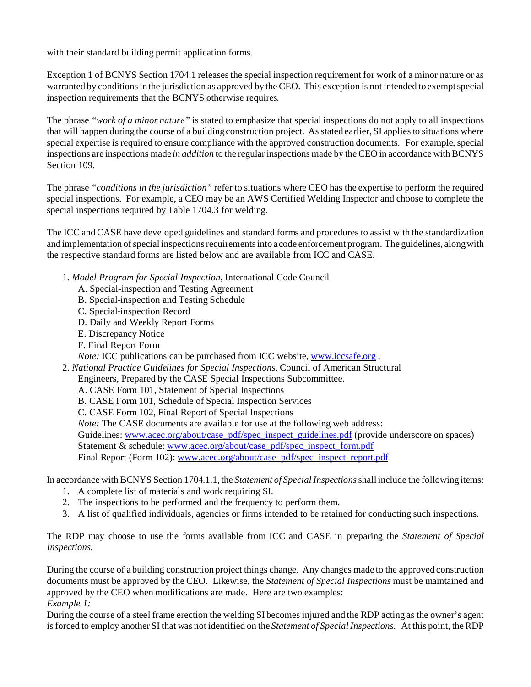with their standard building permit application forms.

Exception 1 of BCNYS Section 1704.1 releases the special inspection requirement for work of a minor nature or as warranted by conditions in the jurisdiction as approved by the CEO. This exception is not intended to exempt special inspection requirements that the BCNYS otherwise requires*.* 

The phrase *"work of a minor nature"* is stated to emphasize that special inspections do not apply to all inspections that will happen during the course of a building construction project. As stated earlier, SI applies to situations where special expertise is required to ensure compliance with the approved construction documents. For example, special inspections are inspections made *in addition* to the regular inspections made by the CEO in accordance with BCNYS Section 109.

The phrase *"conditions in the jurisdiction"* refer to situations where CEO has the expertise to perform the required special inspections. For example, a CEO may be an AWS Certified Welding Inspector and choose to complete the special inspections required by Table 1704.3 for welding.

The ICC and CASE have developed guidelines and standard forms and procedures to assist with the standardization and implementation of special inspections requirements into a code enforcement program. The guidelines, along with the respective standard forms are listed below and are available from ICC and CASE.

- 1. *Model Program for Special Inspection,* International Code Council
	- A. Special-inspection and Testing Agreement
	- B. Special-inspection and Testing Schedule
	- C. Special-inspection Record
	- D. Daily and Weekly Report Forms
	- E. Discrepancy Notice
	- F. Final Report Form

*Note: ICC publications can be purchased from ICC website, [www.iccsafe.org](http://www.iccsafe.org).* 

2. *National Practice Guidelines for Special Inspections,* Council of American Structural

Engineers, Prepared by the CASE Special Inspections Subcommittee.

- A. CASE Form 101, Statement of Special Inspections
- B. CASE Form 101, Schedule of Special Inspection Services
- C. CASE Form 102, Final Report of Special Inspections

*Note:* The CASE documents are available for use at the following web address:

Guidelines: [www.acec.org/about/case\\_pdf/spec\\_inspect\\_guidelines.pdf](http://www.acec.org) (provide underscore on spaces)

Statement & schedule: [www.acec.org/about/case\\_pdf/spec\\_inspect\\_form.pdf](http://www.acec.org)

Final Report (Form 102): [www.acec.org/about/case\\_pdf/spec\\_inspect\\_report.pdf](http://www.acec.org)

In accordance with BCNYS Section 1704.1.1, the *Statement of Special Inspections* shall include the following items:

- 1. A complete list of materials and work requiring SI.
- 2. The inspections to be performed and the frequency to perform them.
- 3. A list of qualified individuals, agencies or firms intended to be retained for conducting such inspections.

The RDP may choose to use the forms available from ICC and CASE in preparing the *Statement of Special Inspections.*

During the course of a building construction project things change. Any changes made to the approved construction documents must be approved by the CEO. Likewise, the *Statement of Special Inspections* must be maintained and approved by the CEO when modifications are made. Here are two examples: *Example 1:*

During the course of a steel frame erection the welding SI becomes injured and the RDP acting as the owner's agent is forced to employ another SI that was not identified on the *Statement of Special Inspections.* At this point, the RDP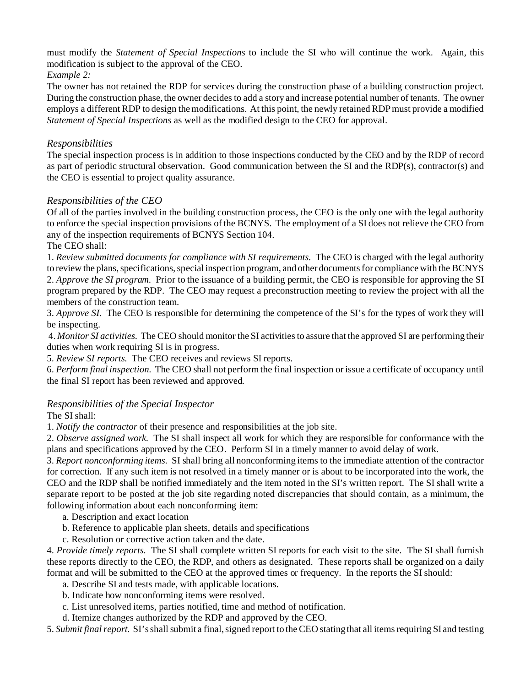must modify the *Statement of Special Inspections* to include the SI who will continue the work. Again, this modification is subject to the approval of the CEO.

*Example 2:*

The owner has not retained the RDP for services during the construction phase of a building construction project. During the construction phase, the owner decides to add a story and increase potential number of tenants. The owner employs a different RDP to design the modifications. At this point, the newly retained RDP must provide a modified *Statement of Special Inspections* as well as the modified design to the CEO for approval.

#### *Responsibilities*

The special inspection process is in addition to those inspections conducted by the CEO and by the RDP of record as part of periodic structural observation. Good communication between the SI and the RDP(s), contractor(s) and the CEO is essential to project quality assurance.

#### *Responsibilities of the CEO*

Of all of the parties involved in the building construction process, the CEO is the only one with the legal authority to enforce the special inspection provisions of the BCNYS. The employment of a SI does not relieve the CEO from any of the inspection requirements of BCNYS Section 104.

The CEO shall:

1. *Review submitted documents for compliance with SI requirements.* The CEO is charged with the legal authority to review the plans, specifications, special inspection program, and other documents for compliance with the BCNYS 2. *Approve the SI program.* Prior to the issuance of a building permit, the CEO is responsible for approving the SI program prepared by the RDP. The CEO may request a preconstruction meeting to review the project with all the members of the construction team.

3. *Approve SI.* The CEO is responsible for determining the competence of the SI's for the types of work they will be inspecting.

 4. *Monitor SI activities.* The CEO should monitor the SI activities to assure that the approved SI are performing their duties when work requiring SI is in progress.

5. *Review SI reports.* The CEO receives and reviews SI reports.

6. *Perform final inspection.* The CEO shall not perform the final inspection or issue a certificate of occupancy until the final SI report has been reviewed and approved.

#### *Responsibilities of the Special Inspector*

The SI shall:

1. *Notify the contractor* of their presence and responsibilities at the job site.

2. *Observe assigned work.* The SI shall inspect all work for which they are responsible for conformance with the plans and specifications approved by the CEO. Perform SI in a timely manner to avoid delay of work.

3. *Report nonconforming items.* SI shall bring all nonconforming items to the immediate attention of the contractor for correction. If any such item is not resolved in a timely manner or is about to be incorporated into the work, the CEO and the RDP shall be notified immediately and the item noted in the SI's written report. The SI shall write a separate report to be posted at the job site regarding noted discrepancies that should contain, as a minimum, the following information about each nonconforming item:

a. Description and exact location

- b. Reference to applicable plan sheets, details and specifications
- c. Resolution or corrective action taken and the date.

4. *Provide timely reports.* The SI shall complete written SI reports for each visit to the site. The SI shall furnish these reports directly to the CEO, the RDP, and others as designated. These reports shall be organized on a daily format and will be submitted to the CEO at the approved times or frequency. In the reports the SI should:

- a. Describe SI and tests made, with applicable locations.
- b. Indicate how nonconforming items were resolved.
- c. List unresolved items, parties notified, time and method of notification.

d. Itemize changes authorized by the RDP and approved by the CEO.

5. *Submit final report.* SI's shall submit a final, signed report to the CEO stating that all items requiring SI and testing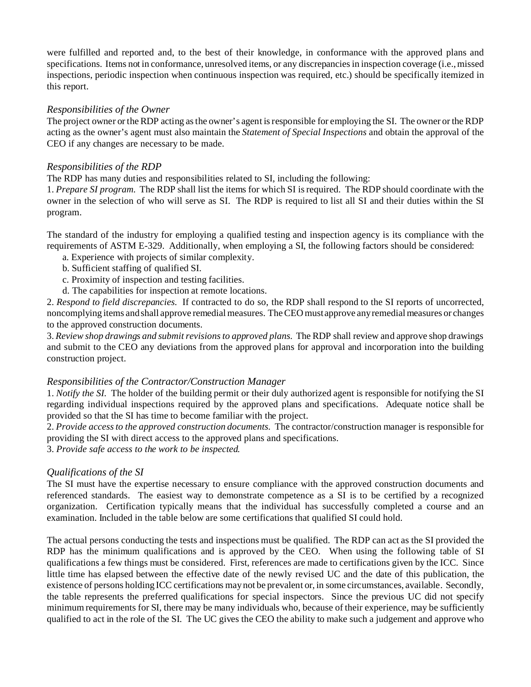were fulfilled and reported and, to the best of their knowledge, in conformance with the approved plans and specifications. Items not in conformance, unresolved items, or any discrepancies in inspection coverage (i.e., missed inspections, periodic inspection when continuous inspection was required, etc.) should be specifically itemized in this report.

#### *Responsibilities of the Owner*

The project owner or the RDP acting as the owner's agent is responsible for employing the SI. The owner or the RDP acting as the owner's agent must also maintain the *Statement of Special Inspections* and obtain the approval of the CEO if any changes are necessary to be made.

#### *Responsibilities of the RDP*

The RDP has many duties and responsibilities related to SI, including the following:

1. *Prepare SI program.* The RDP shall list the items for which SI is required. The RDP should coordinate with the owner in the selection of who will serve as SI. The RDP is required to list all SI and their duties within the SI program.

The standard of the industry for employing a qualified testing and inspection agency is its compliance with the requirements of ASTM E-329. Additionally, when employing a SI, the following factors should be considered:

- a. Experience with projects of similar complexity.
- b. Sufficient staffing of qualified SI.
- c. Proximity of inspection and testing facilities.
- d. The capabilities for inspection at remote locations.

2. *Respond to field discrepancies.* If contracted to do so, the RDP shall respond to the SI reports of uncorrected, noncomplying items and shall approve remedial measures. The CEO must approve any remedial measures or changes to the approved construction documents.

3. *Review shop drawings and submit revisions to approved plans.* The RDP shall review and approve shop drawings and submit to the CEO any deviations from the approved plans for approval and incorporation into the building construction project.

#### *Responsibilities of the Contractor/Construction Manager*

1. *Notify the SI.* The holder of the building permit or their duly authorized agent is responsible for notifying the SI regarding individual inspections required by the approved plans and specifications. Adequate notice shall be provided so that the SI has time to become familiar with the project.

2. *Provide access to the approved construction documents.* The contractor/construction manager is responsible for providing the SI with direct access to the approved plans and specifications.

3. *Provide safe access to the work to be inspected.* 

#### *Qualifications of the SI*

The SI must have the expertise necessary to ensure compliance with the approved construction documents and referenced standards. The easiest way to demonstrate competence as a SI is to be certified by a recognized organization. Certification typically means that the individual has successfully completed a course and an examination. Included in the table below are some certifications that qualified SI could hold.

The actual persons conducting the tests and inspections must be qualified. The RDP can act as the SI provided the RDP has the minimum qualifications and is approved by the CEO. When using the following table of SI qualifications a few things must be considered. First, references are made to certifications given by the ICC. Since little time has elapsed between the effective date of the newly revised UC and the date of this publication, the existence of persons holding ICC certifications may not be prevalent or, in some circumstances, available. Secondly, the table represents the preferred qualifications for special inspectors. Since the previous UC did not specify minimum requirements for SI, there may be many individuals who, because of their experience, may be sufficiently qualified to act in the role of the SI. The UC gives the CEO the ability to make such a judgement and approve who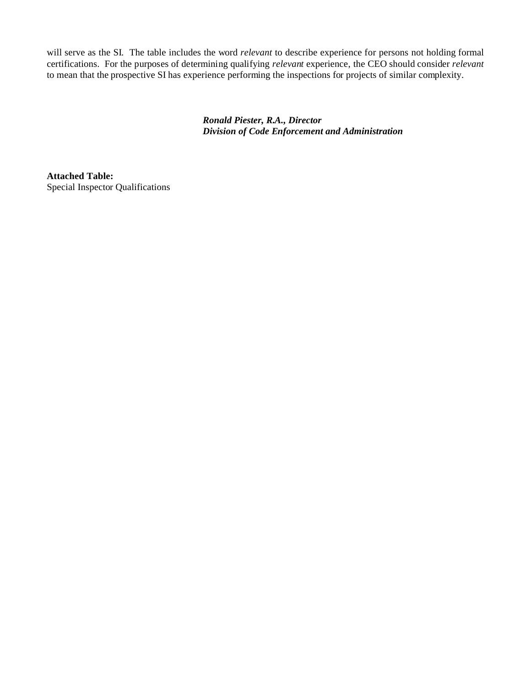will serve as the SI. The table includes the word *relevant* to describe experience for persons not holding formal certifications. For the purposes of determining qualifying *relevant* experience, the CEO should consider *relevant* to mean that the prospective SI has experience performing the inspections for projects of similar complexity.

> *Ronald Piester, R.A., Director Division of Code Enforcement and Administration*

**Attached Table:** Special Inspector Qualifications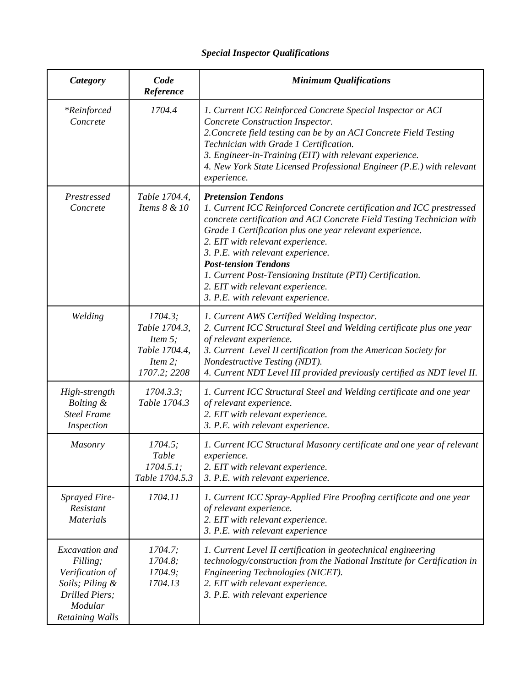### *Special Inspector Qualifications*

| Category                                                                                                         | Code<br>Reference                                                                         | <b>Minimum Qualifications</b>                                                                                                                                                                                                                                                                                                                                                                                                                                                        |
|------------------------------------------------------------------------------------------------------------------|-------------------------------------------------------------------------------------------|--------------------------------------------------------------------------------------------------------------------------------------------------------------------------------------------------------------------------------------------------------------------------------------------------------------------------------------------------------------------------------------------------------------------------------------------------------------------------------------|
| <i>*Reinforced</i><br>Concrete                                                                                   | 1704.4                                                                                    | 1. Current ICC Reinforced Concrete Special Inspector or ACI<br>Concrete Construction Inspector.<br>2. Concrete field testing can be by an ACI Concrete Field Testing<br>Technician with Grade 1 Certification.<br>3. Engineer-in-Training (EIT) with relevant experience.<br>4. New York State Licensed Professional Engineer (P.E.) with relevant<br>experience.                                                                                                                    |
| Prestressed<br>Concrete                                                                                          | Table 1704.4,<br>Items 8 & 10                                                             | <b>Pretension Tendons</b><br>1. Current ICC Reinforced Concrete certification and ICC prestressed<br>concrete certification and ACI Concrete Field Testing Technician with<br>Grade 1 Certification plus one year relevant experience.<br>2. EIT with relevant experience.<br>3. P.E. with relevant experience.<br><b>Post-tension Tendons</b><br>1. Current Post-Tensioning Institute (PTI) Certification.<br>2. EIT with relevant experience.<br>3. P.E. with relevant experience. |
| Welding                                                                                                          | 1704.3;<br>Table 1704.3,<br>Item $5$ ;<br>Table 1704.4,<br><i>Item 2;</i><br>1707.2; 2208 | 1. Current AWS Certified Welding Inspector.<br>2. Current ICC Structural Steel and Welding certificate plus one year<br>of relevant experience.<br>3. Current Level II certification from the American Society for<br>Nondestructive Testing (NDT).<br>4. Current NDT Level III provided previously certified as NDT level II.                                                                                                                                                       |
| High-strength<br>Bolting &<br><b>Steel Frame</b><br>Inspection                                                   | 1704.3.3;<br>Table 1704.3                                                                 | 1. Current ICC Structural Steel and Welding certificate and one year<br>of relevant experience.<br>2. EIT with relevant experience.<br>3. P.E. with relevant experience.                                                                                                                                                                                                                                                                                                             |
| Masonry                                                                                                          | 1704.5;<br>Table<br>1704.5.1;<br>Table 1704.5.3                                           | 1. Current ICC Structural Masonry certificate and one year of relevant<br>experience.<br>2. EIT with relevant experience.<br>3. P.E. with relevant experience.                                                                                                                                                                                                                                                                                                                       |
| <b>Sprayed Fire-</b><br>Resistant<br><b>Materials</b>                                                            | 1704.11                                                                                   | 1. Current ICC Spray-Applied Fire Proofing certificate and one year<br>of relevant experience.<br>2. EIT with relevant experience.<br>3. P.E. with relevant experience                                                                                                                                                                                                                                                                                                               |
| Excavation and<br>Filling;<br>Verification of<br>Soils; Piling &<br>Drilled Piers;<br>Modular<br>Retaining Walls | 1704.7;<br>1704.8;<br>1704.9;<br>1704.13                                                  | 1. Current Level II certification in geotechnical engineering<br>technology/construction from the National Institute for Certification in<br>Engineering Technologies (NICET).<br>2. EIT with relevant experience.<br>3. P.E. with relevant experience                                                                                                                                                                                                                               |